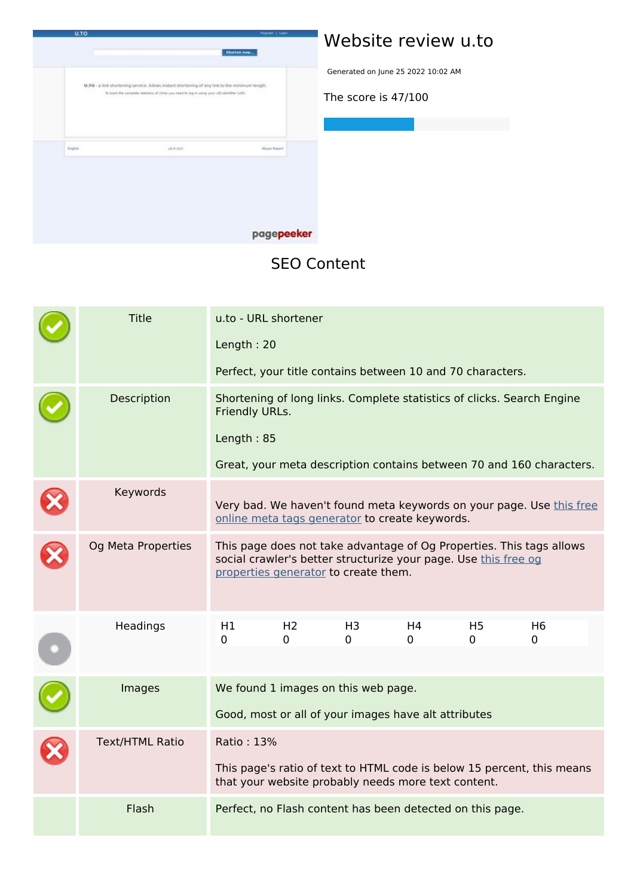

## **Website review u.to**

Generated on June 25 2022 10:02 AM

**The score is 47/100**

## **SEO Content**

| <b>Title</b>           | u.to - URL shortener                                                                                                                                                            |                                                           |                     |                                                            |                            |                                                                      |  |
|------------------------|---------------------------------------------------------------------------------------------------------------------------------------------------------------------------------|-----------------------------------------------------------|---------------------|------------------------------------------------------------|----------------------------|----------------------------------------------------------------------|--|
|                        | Length: 20                                                                                                                                                                      |                                                           |                     |                                                            |                            |                                                                      |  |
|                        |                                                                                                                                                                                 |                                                           |                     | Perfect, your title contains between 10 and 70 characters. |                            |                                                                      |  |
| Description            | Shortening of long links. Complete statistics of clicks. Search Engine<br>Friendly URLs.                                                                                        |                                                           |                     |                                                            |                            |                                                                      |  |
|                        | Length: 85                                                                                                                                                                      |                                                           |                     |                                                            |                            |                                                                      |  |
|                        |                                                                                                                                                                                 |                                                           |                     |                                                            |                            | Great, your meta description contains between 70 and 160 characters. |  |
| Keywords               |                                                                                                                                                                                 |                                                           |                     | online meta tags generator to create keywords.             |                            | Very bad. We haven't found meta keywords on your page. Use this free |  |
| Og Meta Properties     | This page does not take advantage of Og Properties. This tags allows<br>social crawler's better structurize your page. Use this free og<br>properties generator to create them. |                                                           |                     |                                                            |                            |                                                                      |  |
| Headings               | H1<br>0                                                                                                                                                                         | H <sub>2</sub><br>0                                       | H <sub>3</sub><br>0 | H4<br>0                                                    | H <sub>5</sub><br>$\Omega$ | H <sub>6</sub><br>0                                                  |  |
|                        |                                                                                                                                                                                 |                                                           |                     |                                                            |                            |                                                                      |  |
| Images                 | We found 1 images on this web page.                                                                                                                                             |                                                           |                     |                                                            |                            |                                                                      |  |
|                        | Good, most or all of your images have alt attributes                                                                                                                            |                                                           |                     |                                                            |                            |                                                                      |  |
| <b>Text/HTML Ratio</b> | Ratio: 13%                                                                                                                                                                      |                                                           |                     |                                                            |                            |                                                                      |  |
|                        | This page's ratio of text to HTML code is below 15 percent, this means<br>that your website probably needs more text content.                                                   |                                                           |                     |                                                            |                            |                                                                      |  |
| Flash                  |                                                                                                                                                                                 | Perfect, no Flash content has been detected on this page. |                     |                                                            |                            |                                                                      |  |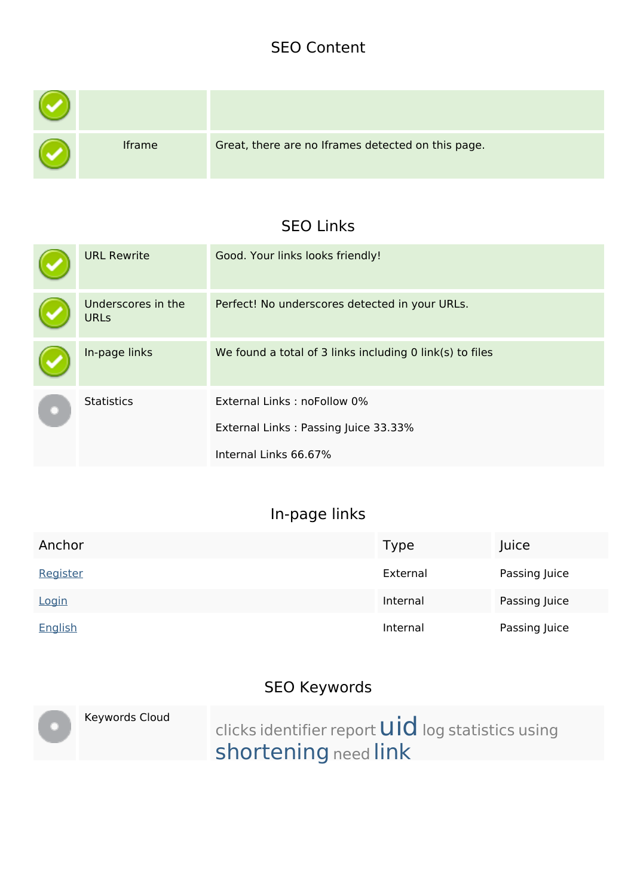### **SEO Content**

| Iframe | Great, there are no Iframes detected on this page. |
|--------|----------------------------------------------------|

## **SEO Links**

|  | <b>URL Rewrite</b>                | Good. Your links looks friendly!                         |
|--|-----------------------------------|----------------------------------------------------------|
|  | Underscores in the<br><b>URLs</b> | Perfect! No underscores detected in your URLs.           |
|  | In-page links                     | We found a total of 3 links including 0 link(s) to files |
|  | <b>Statistics</b>                 | External Links: noFollow 0%                              |
|  |                                   | External Links: Passing Juice 33.33%                     |
|  |                                   | Internal Links 66.67%                                    |

## **In-page links**

| Anchor   | Type     | Juice         |
|----------|----------|---------------|
| Register | External | Passing Juice |
| Login    | Internal | Passing Juice |
| English  | Internal | Passing Juice |

# **SEO Keywords**

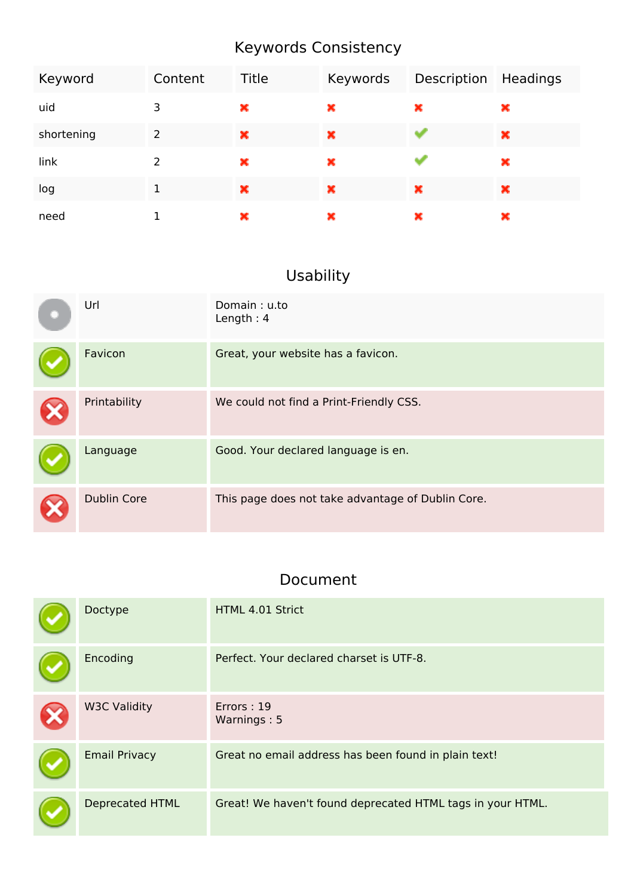# **Keywords Consistency**

| Keyword    | Content | <b>Title</b> | Keywords | Description | Headings |
|------------|---------|--------------|----------|-------------|----------|
| uid        | 3       | ×            | ×        | ×           | ж        |
| shortening | 2       | ×            | ×        |             | ×        |
| link       | 2       | ×            | ×        |             | ×        |
| log        | 1       | ×            | ×        | ×           | ×        |
| need       |         | ×            | ×        | ×           | ×        |

# **Usability**

| Url                | Domain: u.to<br>Length: $4$                       |
|--------------------|---------------------------------------------------|
| Favicon            | Great, your website has a favicon.                |
| Printability       | We could not find a Print-Friendly CSS.           |
| Language           | Good. Your declared language is en.               |
| <b>Dublin Core</b> | This page does not take advantage of Dublin Core. |

# **Document**

| Doctype                | HTML 4.01 Strict                                           |
|------------------------|------------------------------------------------------------|
| Encoding               | Perfect. Your declared charset is UTF-8.                   |
| <b>W3C Validity</b>    | Errors: 19<br>Warnings: 5                                  |
| <b>Email Privacy</b>   | Great no email address has been found in plain text!       |
| <b>Deprecated HTML</b> | Great! We haven't found deprecated HTML tags in your HTML. |